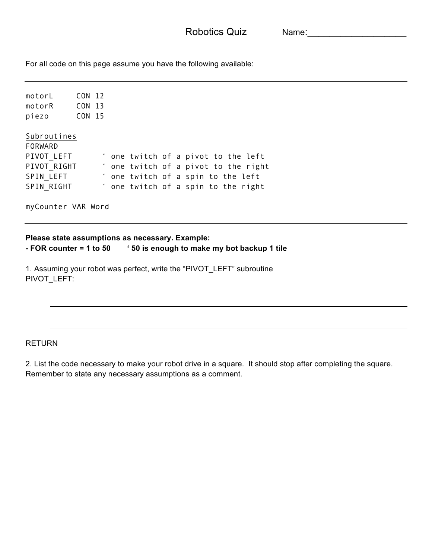Robotics Quiz Mame:

For all code on this page assume you have the following available:

motorL CON 12 motorR CON 13 piezo CON 15 Subroutines FORWARD PIVOT\_LEFT ' one twitch of a pivot to the left<br>PIVOT\_RIGHT ' one twitch of a pivot to the righ ' one twitch of a pivot to the right SPIN LEFT ' one twitch of a spin to the left SPIN RIGHT ' one twitch of a spin to the right

myCounter VAR Word

**Please state assumptions as necessary. Example: - FOR counter = 1 to 50 ' 50 is enough to make my bot backup 1 tile**

1. Assuming your robot was perfect, write the "PIVOT\_LEFT" subroutine PIVOT\_LEFT:

RETURN

2. List the code necessary to make your robot drive in a square. It should stop after completing the square. Remember to state any necessary assumptions as a comment.